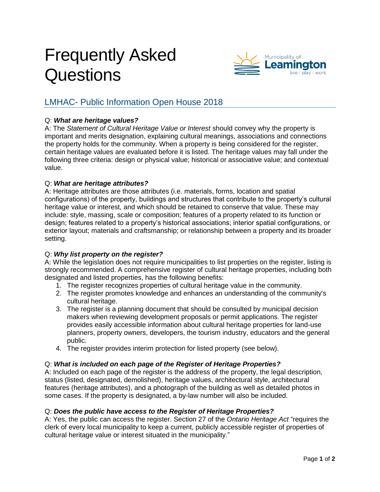# Frequently Asked **Questions**



# LMHAC- Public Information Open House 2018

# Q: *What are heritage values?*

A: The *Statement of Cultural Heritage Value or Interest* should convey why the property is important and merits designation, explaining cultural meanings, associations and connections the property holds for the community. When a property is being considered for the register, certain heritage values are evaluated before it is listed. The heritage values may fall under the following three criteria: design or physical value; historical or associative value; and contextual value.

#### Q: *What are heritage attributes?*

A: Heritage attributes are those attributes (i.e. materials, forms, location and spatial configurations) of the property, buildings and structures that contribute to the property's cultural heritage value or interest, and which should be retained to conserve that value. These may include: style, massing, scale or composition; features of a property related to its function or design; features related to a property's historical associations; interior spatial configurations, or exterior layout; materials and craftsmanship; or relationship between a property and its broader setting.

# Q: *Why list property on the register?*

A: While the legislation does not require municipalities to list properties on the register, listing is strongly recommended. A comprehensive register of cultural heritage properties, including both designated and listed properties, has the following benefits:

- 1. The register recognizes properties of cultural heritage value in the community.
- 2. The register promotes knowledge and enhances an understanding of the community's cultural heritage.
- 3. The register is a planning document that should be consulted by municipal decision makers when reviewing development proposals or permit applications. The register provides easily accessible information about cultural heritage properties for land-use planners, property owners, developers, the tourism industry, educators and the general public.
- 4. The register provides interim protection for listed property (see below).

# Q: *What is included on each page of the Register of Heritage Properties?*

A: Included on each page of the register is the address of the property, the legal description, status (listed, designated, demolished), heritage values, architectural style, architectural features (heritage attributes), and a photograph of the building as well as detailed photos in some cases. If the property is designated, a by-law number will also be included.

#### Q: *Does the public have access to the Register of Heritage Properties?*

A: Yes, the public can access the register. Section 27 of the *[Ontario Heritage Act](http://www.mtc.gov.on.ca/en/heritage/heritage_act.shtml)* "requires the clerk of every local municipality to keep a current, publicly accessible register of properties of cultural heritage value or interest situated in the municipality."